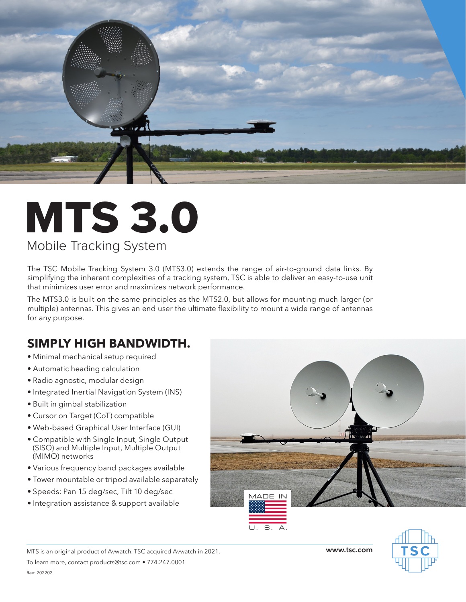

# MTS 3.0

### Mobile Tracking System

The TSC Mobile Tracking System 3.0 (MTS3.0) extends the range of air-to-ground data links. By simplifying the inherent complexities of a tracking system, TSC is able to deliver an easy-to-use unit that minimizes user error and maximizes network performance.

The MTS3.0 is built on the same principles as the MTS2.0, but allows for mounting much larger (or multiple) antennas. This gives an end user the ultimate flexibility to mount a wide range of antennas for any purpose.

## **SIMPLY HIGH BANDWIDTH.**

- Minimal mechanical setup required
- Automatic heading calculation
- Radio agnostic, modular design
- Integrated Inertial Navigation System (INS)
- Built in gimbal stabilization
- Cursor on Target (CoT) compatible
- Web-based Graphical User Interface (GUI)
- Compatible with Single Input, Single Output (SISO) and Multiple Input, Multiple Output (MIMO) networks
- Various frequency band packages available
- Tower mountable or tripod available separately
- Speeds: Pan 15 deg/sec, Tilt 10 deg/sec
- Integration assistance & support available

To learn more, contact products@tsc.com • 774.247.0001



MTS is an original product of Avwatch. TSC acquired Avwatch in 2021. **www.tsc.com**